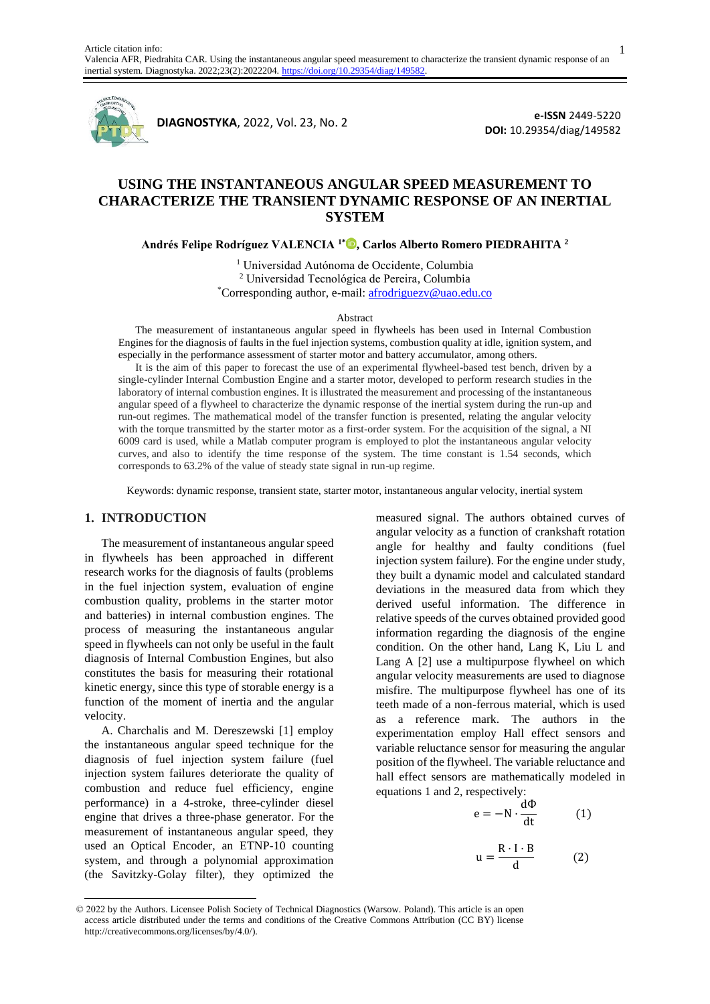

**DIAGNOSTYKA**, 2022, Vol. 23, No. 2

**e-ISSN** 2449-5220 **DOI:** 10.29354/diag/149582

# **USING THE INSTANTANEOUS ANGULAR SPEED MEASUREMENT TO CHARACTERIZE THE TRANSIENT DYNAMIC RESPONSE OF AN INERTIAL SYSTEM**

**Andrés Felipe Rodríguez VALENCIA 1\* , Carlos Alberto Romero PIEDRAHITA <sup>2</sup>**

<sup>1</sup> Universidad Autónoma de Occidente, Columbia <sup>2</sup> Universidad Tecnológica de Pereira, Columbia \*Corresponding author, e-mail: afrodriguezv@uao.edu.co

Abstract

The measurement of instantaneous angular speed in flywheels has been used in Internal Combustion Engines for the diagnosis of faults in the fuel injection systems, combustion quality at idle, ignition system, and especially in the performance assessment of starter motor and battery accumulator, among others.

It is the aim of this paper to forecast the use of an experimental flywheel-based test bench, driven by a single-cylinder Internal Combustion Engine and a starter motor, developed to perform research studies in the laboratory of internal combustion engines. It is illustrated the measurement and processing of the instantaneous angular speed of a flywheel to characterize the dynamic response of the inertial system during the run-up and run-out regimes. The mathematical model of the transfer function is presented, relating the angular velocity with the torque transmitted by the starter motor as a first-order system. For the acquisition of the signal, a NI 6009 card is used, while a Matlab computer program is employed to plot the instantaneous angular velocity curves, and also to identify the time response of the system. The time constant is 1.54 seconds, which corresponds to 63.2% of the value of steady state signal in run-up regime.

Keywords: dynamic response, transient state, starter motor, instantaneous angular velocity, inertial system

#### **1. INTRODUCTION**

The measurement of instantaneous angular speed in flywheels has been approached in different research works for the diagnosis of faults (problems in the fuel injection system, evaluation of engine combustion quality, problems in the starter motor and batteries) in internal combustion engines. The process of measuring the instantaneous angular speed in flywheels can not only be useful in the fault diagnosis of Internal Combustion Engines, but also constitutes the basis for measuring their rotational kinetic energy, since this type of storable energy is a function of the moment of inertia and the angular velocity.

A. Charchalis and M. Dereszewski [1] employ the instantaneous angular speed technique for the diagnosis of fuel injection system failure (fuel injection system failures deteriorate the quality of combustion and reduce fuel efficiency, engine performance) in a 4-stroke, three-cylinder diesel engine that drives a three-phase generator. For the measurement of instantaneous angular speed, they used an Optical Encoder, an ETNP-10 counting system, and through a polynomial approximation (the Savitzky-Golay filter), they optimized the

measured signal. The authors obtained curves of angular velocity as a function of crankshaft rotation angle for healthy and faulty conditions (fuel injection system failure). For the engine under study, they built a dynamic model and calculated standard deviations in the measured data from which they derived useful information. The difference in relative speeds of the curves obtained provided good information regarding the diagnosis of the engine condition. On the other hand, Lang K, Liu L and Lang A [2] use a multipurpose flywheel on which angular velocity measurements are used to diagnose misfire. The multipurpose flywheel has one of its teeth made of a non-ferrous material, which is used as a reference mark. The authors in the experimentation employ Hall effect sensors and variable reluctance sensor for measuring the angular position of the flywheel. The variable reluctance and hall effect sensors are mathematically modeled in equations 1 and 2, respectively:

$$
e = -N \cdot \frac{d\Phi}{dt} \tag{1}
$$

$$
u = \frac{R \cdot I \cdot B}{d} \tag{2}
$$

1

<sup>© 2022</sup> by the Authors. Licensee Polish Society of Technical Diagnostics (Warsow. Poland). This article is an open access article distributed under the terms and conditions of the Creative Commons Attribution (CC BY) license http://creativecommons.org/licenses/by/4.0/).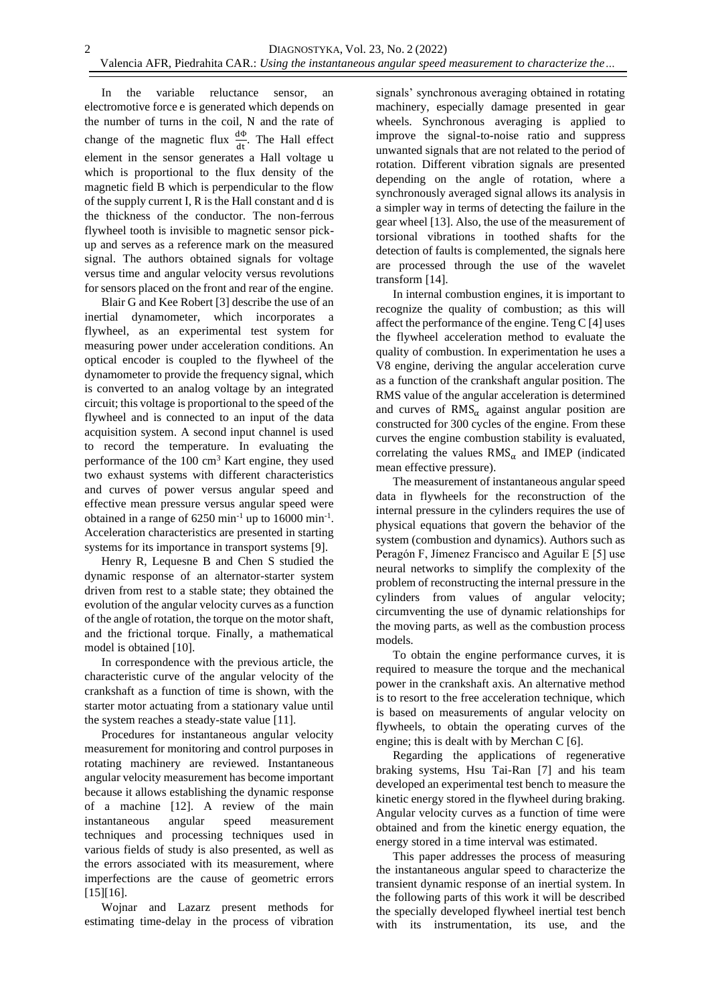In the variable reluctance sensor, an electromotive force e is generated which depends on the number of turns in the coil, N and the rate of change of the magnetic flux  $\frac{d\Phi}{dt}$ . The Hall effect element in the sensor generates a Hall voltage u which is proportional to the flux density of the magnetic field B which is perpendicular to the flow of the supply current I, R is the Hall constant and d is the thickness of the conductor. The non-ferrous flywheel tooth is invisible to magnetic sensor pickup and serves as a reference mark on the measured signal. The authors obtained signals for voltage versus time and angular velocity versus revolutions for sensors placed on the front and rear of the engine.

Blair G and Kee Robert [3] describe the use of an inertial dynamometer, which incorporates a flywheel, as an experimental test system for measuring power under acceleration conditions. An optical encoder is coupled to the flywheel of the dynamometer to provide the frequency signal, which is converted to an analog voltage by an integrated circuit; this voltage is proportional to the speed of the flywheel and is connected to an input of the data acquisition system. A second input channel is used to record the temperature. In evaluating the performance of the  $100 \text{ cm}^3$  Kart engine, they used two exhaust systems with different characteristics and curves of power versus angular speed and effective mean pressure versus angular speed were obtained in a range of  $6250 \text{ min}^{-1}$  up to  $16000 \text{ min}^{-1}$ . Acceleration characteristics are presented in starting systems for its importance in transport systems [9].

Henry R, Lequesne B and Chen S studied the dynamic response of an alternator-starter system driven from rest to a stable state; they obtained the evolution of the angular velocity curves as a function of the angle of rotation, the torque on the motor shaft, and the frictional torque. Finally, a mathematical model is obtained [10].

In correspondence with the previous article, the characteristic curve of the angular velocity of the crankshaft as a function of time is shown, with the starter motor actuating from a stationary value until the system reaches a steady-state value [11].

Procedures for instantaneous angular velocity measurement for monitoring and control purposes in rotating machinery are reviewed. Instantaneous angular velocity measurement has become important because it allows establishing the dynamic response of a machine [12]. A review of the main instantaneous angular speed measurement techniques and processing techniques used in various fields of study is also presented, as well as the errors associated with its measurement, where imperfections are the cause of geometric errors [15][16].

Wojnar and Lazarz present methods for estimating time-delay in the process of vibration

signals' synchronous averaging obtained in rotating machinery, especially damage presented in gear wheels. Synchronous averaging is applied to improve the signal-to-noise ratio and suppress unwanted signals that are not related to the period of rotation. Different vibration signals are presented depending on the angle of rotation, where a synchronously averaged signal allows its analysis in a simpler way in terms of detecting the failure in the gear wheel [13]. Also, the use of the measurement of torsional vibrations in toothed shafts for the detection of faults is complemented, the signals here are processed through the use of the wavelet transform [14].

In internal combustion engines, it is important to recognize the quality of combustion; as this will affect the performance of the engine. Teng C [4] uses the flywheel acceleration method to evaluate the quality of combustion. In experimentation he uses a V8 engine, deriving the angular acceleration curve as a function of the crankshaft angular position. The RMS value of the angular acceleration is determined and curves of  $RMS_{\alpha}$  against angular position are constructed for 300 cycles of the engine. From these curves the engine combustion stability is evaluated, correlating the values  $RMS_{\alpha}$  and IMEP (indicated mean effective pressure).

The measurement of instantaneous angular speed data in flywheels for the reconstruction of the internal pressure in the cylinders requires the use of physical equations that govern the behavior of the system (combustion and dynamics). Authors such as Peragón F, Jímenez Francisco and Aguilar E [5] use neural networks to simplify the complexity of the problem of reconstructing the internal pressure in the cylinders from values of angular velocity; circumventing the use of dynamic relationships for the moving parts, as well as the combustion process models.

To obtain the engine performance curves, it is required to measure the torque and the mechanical power in the crankshaft axis. An alternative method is to resort to the free acceleration technique, which is based on measurements of angular velocity on flywheels, to obtain the operating curves of the engine; this is dealt with by Merchan C [6].

Regarding the applications of regenerative braking systems, Hsu Tai-Ran [7] and his team developed an experimental test bench to measure the kinetic energy stored in the flywheel during braking. Angular velocity curves as a function of time were obtained and from the kinetic energy equation, the energy stored in a time interval was estimated.

This paper addresses the process of measuring the instantaneous angular speed to characterize the transient dynamic response of an inertial system. In the following parts of this work it will be described the specially developed flywheel inertial test bench with its instrumentation, its use, and the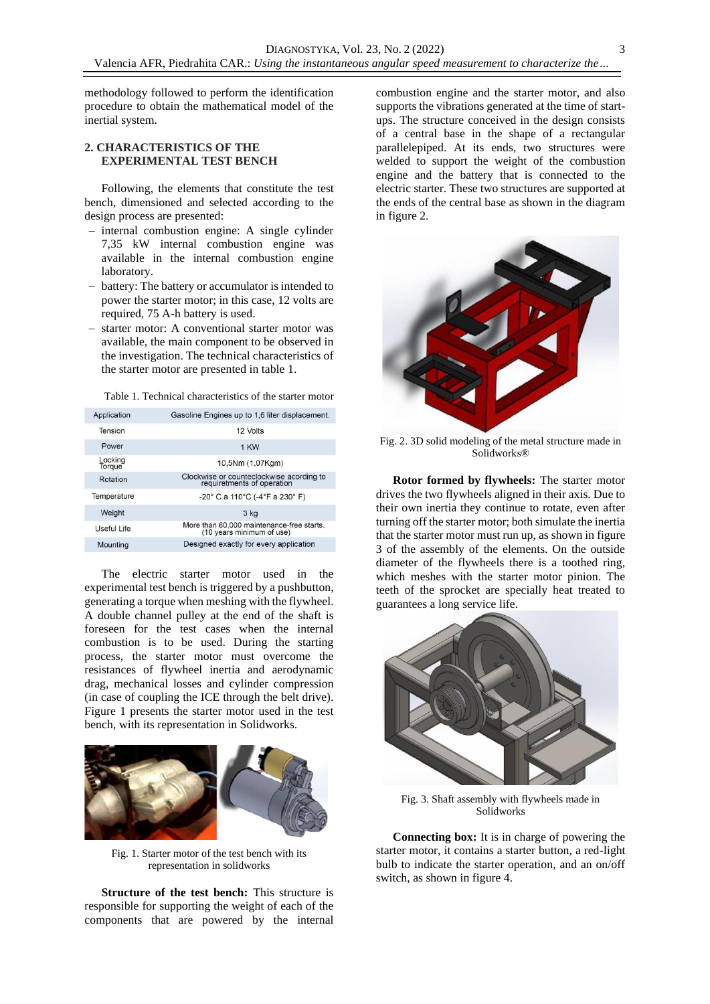methodology followed to perform the identification procedure to obtain the mathematical model of the inertial system.

## **2. CHARACTERISTICS OF THE EXPERIMENTAL TEST BENCH**

Following, the elements that constitute the test bench, dimensioned and selected according to the design process are presented:

- − internal combustion engine: A single cylinder 7,35 kW internal combustion engine was available in the internal combustion engine laboratory.
- battery: The battery or accumulator is intended to power the starter motor; in this case, 12 volts are required, 75 A-h battery is used.
- starter motor: A conventional starter motor was available, the main component to be observed in the investigation. The technical characteristics of the starter motor are presented in table 1.

Table 1. Technical characteristics of the starter motor

| Application       | Gasoline Engines up to 1,6 liter displacement.                          |  |  |
|-------------------|-------------------------------------------------------------------------|--|--|
| Tension           | 12 Volts                                                                |  |  |
| Power             | 1 KW                                                                    |  |  |
| Locking<br>Torque | 10,5Nm (1,07Kgm)                                                        |  |  |
| Rotation          | Clockwise or counteclockwise acording to<br>requiretments of operation  |  |  |
| Temperature       | $-20^{\circ}$ C a 110 $^{\circ}$ C (-4 $^{\circ}$ F a 230 $^{\circ}$ F) |  |  |
| Weight            | 3 kg                                                                    |  |  |
| Useful Life       | More than 60,000 maintenance-free starts.<br>(10 years minimum of use)  |  |  |
| Mounting          | Designed exactly for every application                                  |  |  |

The electric starter motor used in the experimental test bench is triggered by a pushbutton, generating a torque when meshing with the flywheel. A double channel pulley at the end of the shaft is foreseen for the test cases when the internal combustion is to be used. During the starting process, the starter motor must overcome the resistances of flywheel inertia and aerodynamic drag, mechanical losses and cylinder compression (in case of coupling the ICE through the belt drive). Figure 1 presents the starter motor used in the test bench, with its representation in Solidworks.



Fig. 1. Starter motor of the test bench with its representation in solidworks

**Structure of the test bench:** This structure is responsible for supporting the weight of each of the components that are powered by the internal

combustion engine and the starter motor, and also supports the vibrations generated at the time of startups. The structure conceived in the design consists of a central base in the shape of a rectangular parallelepiped. At its ends, two structures were welded to support the weight of the combustion engine and the battery that is connected to the electric starter. These two structures are supported at the ends of the central base as shown in the diagram in figure 2.



Fig. 2. 3D solid modeling of the metal structure made in Solidworks®

**Rotor formed by flywheels:** The starter motor drives the two flywheels aligned in their axis. Due to their own inertia they continue to rotate, even after turning off the starter motor; both simulate the inertia that the starter motor must run up, as shown in figure 3 of the assembly of the elements. On the outside diameter of the flywheels there is a toothed ring, which meshes with the starter motor pinion. The teeth of the sprocket are specially heat treated to guarantees a long service life.



Fig. 3. Shaft assembly with flywheels made in Solidworks

**Connecting box:** It is in charge of powering the starter motor, it contains a starter button, a red-light bulb to indicate the starter operation, and an on/off switch, as shown in figure 4.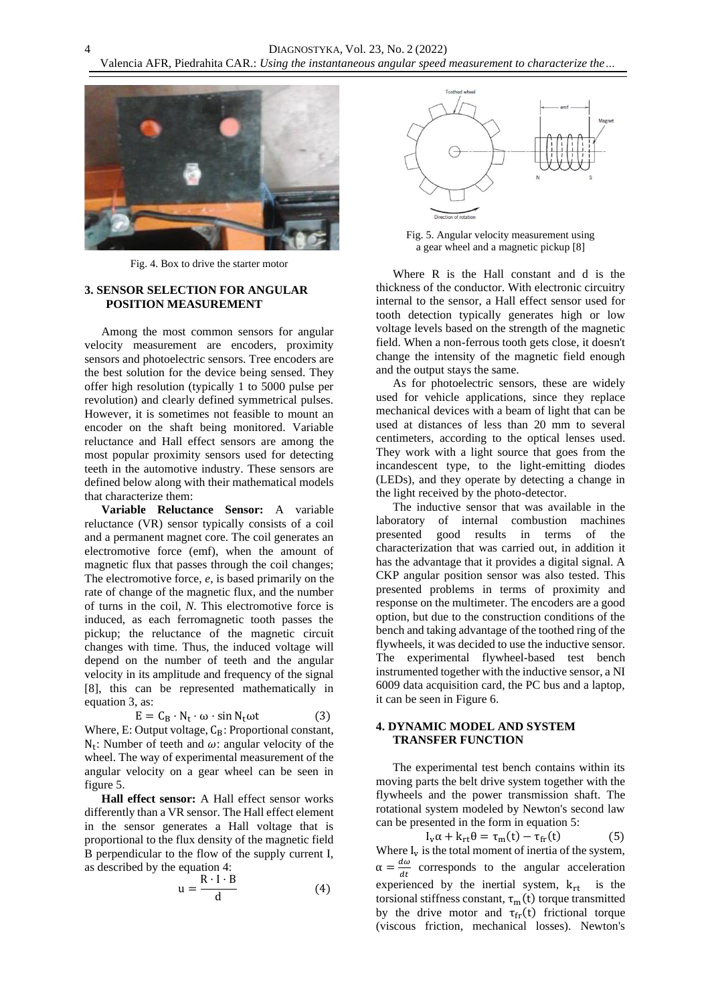

4

Fig. 4. Box to drive the starter motor

## **3. SENSOR SELECTION FOR ANGULAR POSITION MEASUREMENT**

Among the most common sensors for angular velocity measurement are encoders, proximity sensors and photoelectric sensors. Tree encoders are the best solution for the device being sensed. They offer high resolution (typically 1 to 5000 pulse per revolution) and clearly defined symmetrical pulses. However, it is sometimes not feasible to mount an encoder on the shaft being monitored. Variable reluctance and Hall effect sensors are among the most popular proximity sensors used for detecting teeth in the automotive industry. These sensors are defined below along with their mathematical models that characterize them:

**Variable Reluctance Sensor:** A variable reluctance (VR) sensor typically consists of a coil and a permanent magnet core. The coil generates an electromotive force (emf), when the amount of magnetic flux that passes through the coil changes; The electromotive force, *e*, is based primarily on the rate of change of the magnetic flux, and the number of turns in the coil, *N*. This electromotive force is induced, as each ferromagnetic tooth passes the pickup; the reluctance of the magnetic circuit changes with time. Thus, the induced voltage will depend on the number of teeth and the angular velocity in its amplitude and frequency of the signal [8], this can be represented mathematically in equation 3, as:

$$
E = C_B \cdot N_t \cdot \omega \cdot \sin N_t \omega t \tag{3}
$$

Where, E: Output voltage,  $C_B$ : Proportional constant,  $N_t$ : Number of teeth and  $\omega$ : angular velocity of the wheel. The way of experimental measurement of the angular velocity on a gear wheel can be seen in figure 5.

**Hall effect sensor:** A Hall effect sensor works differently than a VR sensor. The Hall effect element in the sensor generates a Hall voltage that is proportional to the flux density of the magnetic field B perpendicular to the flow of the supply current I, as described by the equation 4:

$$
u = \frac{R \cdot I \cdot B}{d} \tag{4}
$$



Fig. 5. Angular velocity measurement using a gear wheel and a magnetic pickup [8]

Where R is the Hall constant and d is the thickness of the conductor. With electronic circuitry internal to the sensor, a Hall effect sensor used for tooth detection typically generates high or low voltage levels based on the strength of the magnetic field. When a non-ferrous tooth gets close, it doesn't change the intensity of the magnetic field enough and the output stays the same.

As for photoelectric sensors, these are widely used for vehicle applications, since they replace mechanical devices with a beam of light that can be used at distances of less than 20 mm to several centimeters, according to the optical lenses used. They work with a light source that goes from the incandescent type, to the light-emitting diodes (LEDs), and they operate by detecting a change in the light received by the photo-detector.

The inductive sensor that was available in the laboratory of internal combustion machines presented good results in terms of the characterization that was carried out, in addition it has the advantage that it provides a digital signal. A CKP angular position sensor was also tested. This presented problems in terms of proximity and response on the multimeter. The encoders are a good option, but due to the construction conditions of the bench and taking advantage of the toothed ring of the flywheels, it was decided to use the inductive sensor. The experimental flywheel-based test bench instrumented together with the inductive sensor, a NI 6009 data acquisition card, the PC bus and a laptop, it can be seen in Figure 6.

## **4. DYNAMIC MODEL AND SYSTEM TRANSFER FUNCTION**

The experimental test bench contains within its moving parts the belt drive system together with the flywheels and the power transmission shaft. The rotational system modeled by Newton's second law can be presented in the form in equation 5:

 $I_v \alpha + k_{rt} \theta = \tau_m(t) - \tau_{fr}(t)$  (5) Where  $I_v$  is the total moment of inertia of the system,  $\alpha = \frac{d\omega}{dt}$  $\frac{du}{dt}$  corresponds to the angular acceleration experienced by the inertial system,  $k_{rt}$  is the torsional stiffness constant,  $\tau_m(t)$  torque transmitted by the drive motor and  $\tau_{fr}(t)$  frictional torque (viscous friction, mechanical losses). Newton's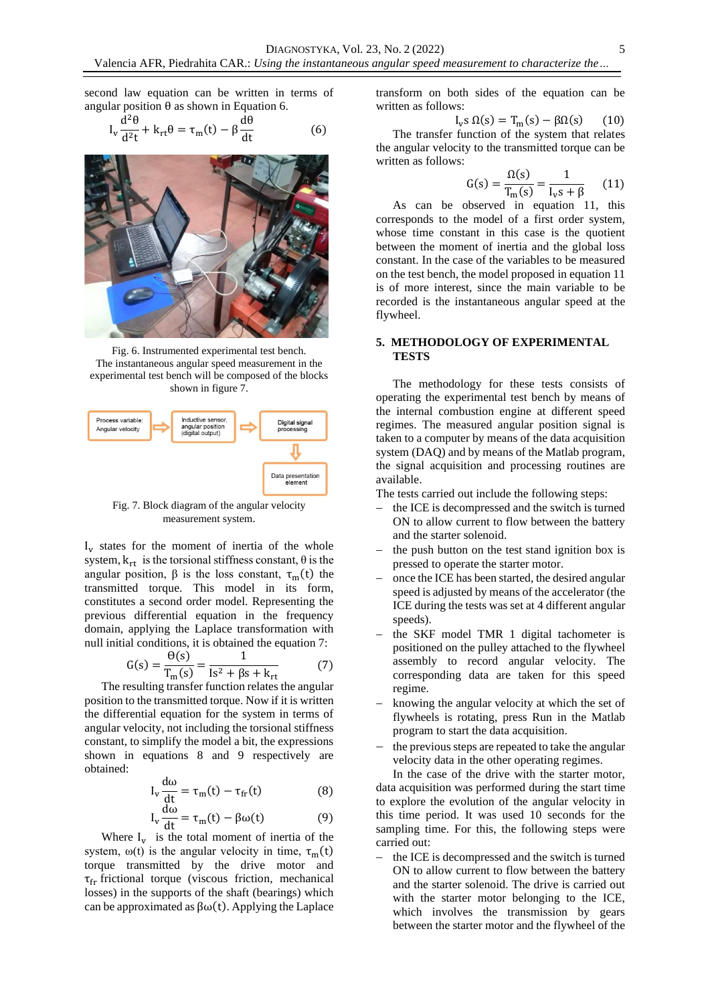second law equation can be written in terms of angular position  $\theta$  as shown in Equation 6.

$$
I_{v} \frac{d^{2} \theta}{d^{2} t} + k_{rt} \theta = \tau_{m}(t) - \beta \frac{d \theta}{dt}
$$
 (6)



Fig. 6. Instrumented experimental test bench. The instantaneous angular speed measurement in the experimental test bench will be composed of the blocks shown in figure 7.



Fig. 7. Block diagram of the angular velocity measurement system.

 $I_v$  states for the moment of inertia of the whole system,  $k_{rt}$  is the torsional stiffness constant,  $\theta$  is the angular position,  $\beta$  is the loss constant,  $\tau_m(t)$  the transmitted torque. This model in its form, constitutes a second order model. Representing the previous differential equation in the frequency domain, applying the Laplace transformation with null initial conditions, it is obtained the equation 7:

$$
G(s) = \frac{\Theta(s)}{T_m(s)} = \frac{1}{Is^2 + \beta s + k_{rt}}\tag{7}
$$

The resulting transfer function relates the angular position to the transmitted torque. Now if it is written the differential equation for the system in terms of angular velocity, not including the torsional stiffness constant, to simplify the model a bit, the expressions shown in equations 8 and 9 respectively are obtained:

$$
I_v \frac{d\omega}{dt} = \tau_m(t) - \tau_{fr}(t)
$$
 (8)

$$
I_{v} \frac{d\omega}{dt} = \tau_{m}(t) - \beta \omega(t) \tag{9}
$$

Where  $I_v$  is the total moment of inertia of the system,  $\omega(t)$  is the angular velocity in time,  $\tau_m(t)$ torque transmitted by the drive motor and  $\tau_{\text{fr}}$  frictional torque (viscous friction, mechanical losses) in the supports of the shaft (bearings) which can be approximated as  $\beta\omega(t)$ . Applying the Laplace

transform on both sides of the equation can be written as follows:

$$
I_{v} s \Omega(s) = T_{m}(s) - \beta \Omega(s) \qquad (10)
$$

The transfer function of the system that relates the angular velocity to the transmitted torque can be written as follows:

$$
G(s) = \frac{\Omega(s)}{T_m(s)} = \frac{1}{I_v s + \beta} \quad (11)
$$

As can be observed in equation 11, this corresponds to the model of a first order system, whose time constant in this case is the quotient between the moment of inertia and the global loss constant. In the case of the variables to be measured on the test bench, the model proposed in equation 11 is of more interest, since the main variable to be recorded is the instantaneous angular speed at the flywheel.

## **5. METHODOLOGY OF EXPERIMENTAL TESTS**

The methodology for these tests consists of operating the experimental test bench by means of the internal combustion engine at different speed regimes. The measured angular position signal is taken to a computer by means of the data acquisition system (DAQ) and by means of the Matlab program, the signal acquisition and processing routines are available.

The tests carried out include the following steps:

- the ICE is decompressed and the switch is turned ON to allow current to flow between the battery and the starter solenoid.
- the push button on the test stand ignition box is pressed to operate the starter motor.
- once the ICE has been started, the desired angular speed is adjusted by means of the accelerator (the ICE during the tests was set at 4 different angular speeds).
- the SKF model TMR 1 digital tachometer is positioned on the pulley attached to the flywheel assembly to record angular velocity. The corresponding data are taken for this speed regime.
- knowing the angular velocity at which the set of flywheels is rotating, press Run in the Matlab program to start the data acquisition.
- the previous steps are repeated to take the angular velocity data in the other operating regimes.

In the case of the drive with the starter motor, data acquisition was performed during the start time to explore the evolution of the angular velocity in this time period. It was used 10 seconds for the sampling time. For this, the following steps were carried out:

the ICE is decompressed and the switch is turned ON to allow current to flow between the battery and the starter solenoid. The drive is carried out with the starter motor belonging to the ICE, which involves the transmission by gears between the starter motor and the flywheel of the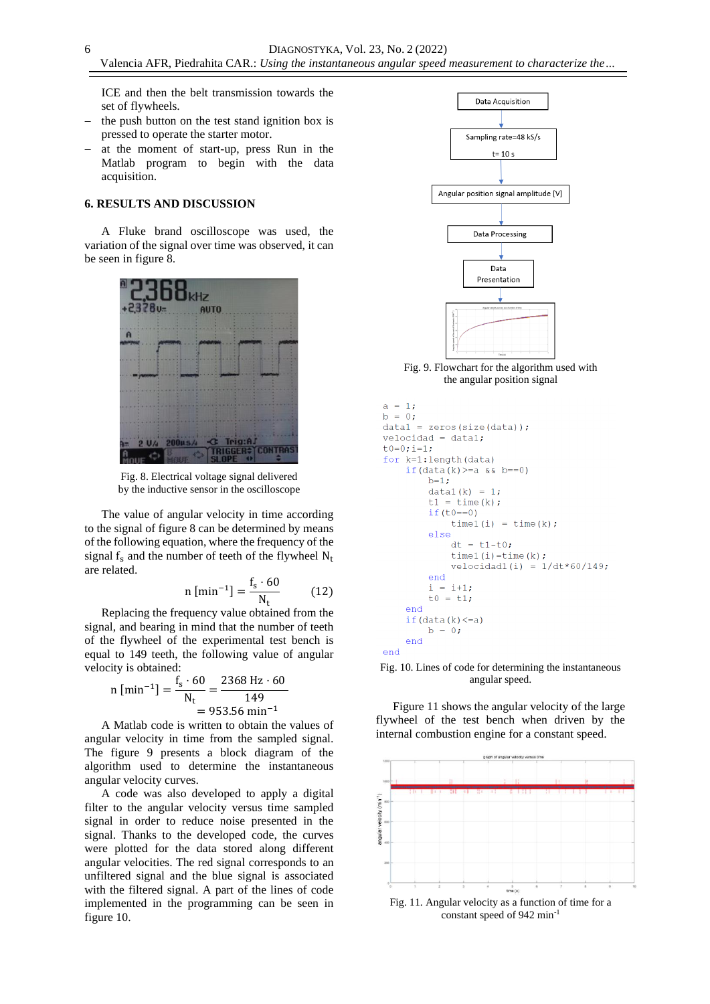ICE and then the belt transmission towards the set of flywheels.

- the push button on the test stand ignition box is pressed to operate the starter motor.
- − at the moment of start-up, press Run in the Matlab program to begin with the data acquisition.

#### **6. RESULTS AND DISCUSSION**

A Fluke brand oscilloscope was used, the variation of the signal over time was observed, it can be seen in figure 8.



Fig. 8. Electrical voltage signal delivered by the inductive sensor in the oscilloscope

The value of angular velocity in time according to the signal of figure 8 can be determined by means of the following equation, where the frequency of the signal  $f<sub>s</sub>$  and the number of teeth of the flywheel  $N<sub>t</sub>$ are related.

$$
n\left[\min^{-1}\right] = \frac{f_s \cdot 60}{N_t} \tag{12}
$$

Replacing the frequency value obtained from the signal, and bearing in mind that the number of teeth of the flywheel of the experimental test bench is equal to 149 teeth, the following value of angular velocity is obtained:

n [min<sup>-1</sup>] = 
$$
\frac{f_s \cdot 60}{N_t} = \frac{2368 \text{ Hz} \cdot 60}{149}
$$
  
= 953.56 min<sup>-1</sup>

A Matlab code is written to obtain the values of angular velocity in time from the sampled signal. The figure 9 presents a block diagram of the algorithm used to determine the instantaneous angular velocity curves.

A code was also developed to apply a digital filter to the angular velocity versus time sampled signal in order to reduce noise presented in the signal. Thanks to the developed code, the curves were plotted for the data stored along different angular velocities. The red signal corresponds to an unfiltered signal and the blue signal is associated with the filtered signal. A part of the lines of code implemented in the programming can be seen in figure 10.



Fig. 9. Flowchart for the algorithm used with the angular position signal

```
a = 1:b = 0;data1 = zeros(size(data));
velocidad = data1;t0=0; i=1;
for k=1: length (data)
    if (data(k) >= a & k k = 0)b=1:
        data1(k) = 1;t1 = time(k);if(t0 == 0)time1(i) = time(k);else
            dt = t1-t0;time1(i)=time(k);
            velocidad(i) = 1/dt*60/149;endi = i+1;to 0 = t1;end
    if (data(k) < = a)b = 0;endend
```
Fig. 10. Lines of code for determining the instantaneous angular speed.

Figure 11 shows the angular velocity of the large flywheel of the test bench when driven by the internal combustion engine for a constant speed.



constant speed of 942 min-1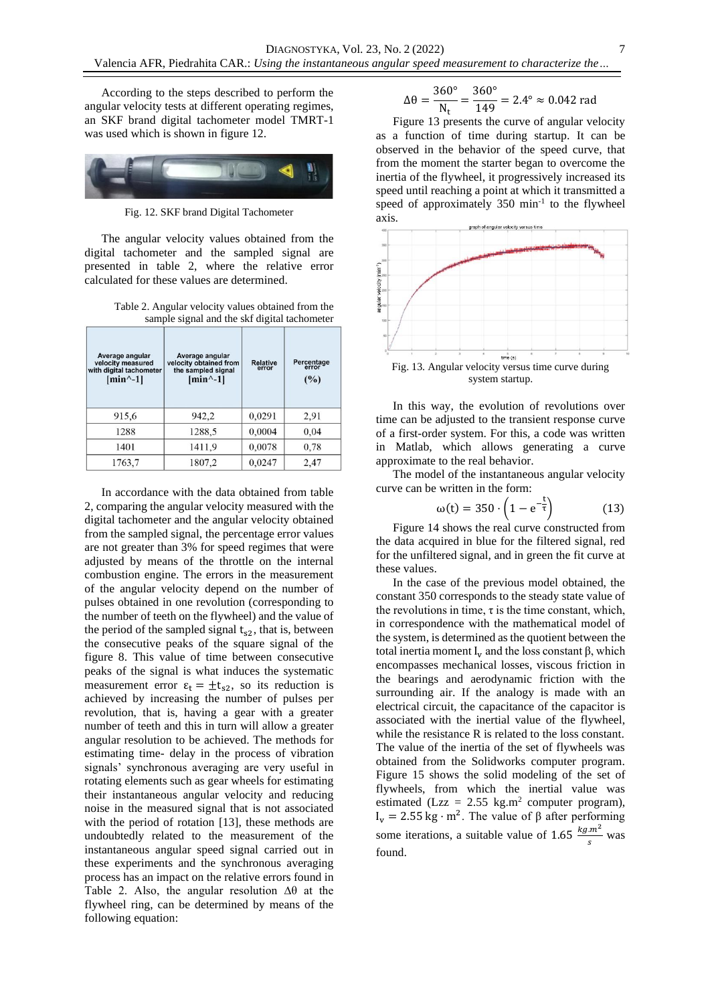According to the steps described to perform the angular velocity tests at different operating regimes, an SKF brand digital tachometer model TMRT-1 was used which is shown in figure 12.



Fig. 12. SKF brand Digital Tachometer

The angular velocity values obtained from the digital tachometer and the sampled signal are presented in table 2, where the relative error calculated for these values are determined.

Table 2. Angular velocity values obtained from the sample signal and the skf digital tachometer

| Average angular<br>velocity measured<br>with digital tachometer<br>$[min^{-1}]$ | Average angular<br>velocity obtained from<br>the sampled signal<br>$[min^{-1}]$ | <b>Relative</b><br>error | Percentage<br>error<br>(%) |
|---------------------------------------------------------------------------------|---------------------------------------------------------------------------------|--------------------------|----------------------------|
| 915,6                                                                           | 942,2                                                                           | 0,0291                   | 2,91                       |
| 1288                                                                            | 1288,5                                                                          | 0,0004                   | 0,04                       |
| 1401                                                                            | 1411.9                                                                          | 0,0078                   | 0.78                       |
| 1763,7                                                                          | 1807,2                                                                          | 0,0247                   | 2,47                       |

In accordance with the data obtained from table 2, comparing the angular velocity measured with the digital tachometer and the angular velocity obtained from the sampled signal, the percentage error values are not greater than 3% for speed regimes that were adjusted by means of the throttle on the internal combustion engine. The errors in the measurement of the angular velocity depend on the number of pulses obtained in one revolution (corresponding to the number of teeth on the flywheel) and the value of the period of the sampled signal  $t_{s2}$ , that is, between the consecutive peaks of the square signal of the figure 8. This value of time between consecutive peaks of the signal is what induces the systematic measurement error  $\varepsilon_t = \pm t_{s2}$ , so its reduction is achieved by increasing the number of pulses per revolution, that is, having a gear with a greater number of teeth and this in turn will allow a greater angular resolution to be achieved. The methods for estimating time- delay in the process of vibration signals' synchronous averaging are very useful in rotating elements such as gear wheels for estimating their instantaneous angular velocity and reducing noise in the measured signal that is not associated with the period of rotation [13], these methods are undoubtedly related to the measurement of the instantaneous angular speed signal carried out in these experiments and the synchronous averaging process has an impact on the relative errors found in Table 2. Also, the angular resolution ∆θ at the flywheel ring, can be determined by means of the following equation:

$$
\Delta\theta = \frac{360^{\circ}}{N_{t}} = \frac{360^{\circ}}{149} = 2.4^{\circ} \approx 0.042 \text{ rad}
$$

Figure 13 presents the curve of angular velocity as a function of time during startup. It can be observed in the behavior of the speed curve, that from the moment the starter began to overcome the inertia of the flywheel, it progressively increased its speed until reaching a point at which it transmitted a speed of approximately  $350 \text{ min}^{-1}$  to the flywheel axis.



In this way, the evolution of revolutions over time can be adjusted to the transient response curve of a first-order system. For this, a code was written in Matlab, which allows generating a curve approximate to the real behavior.

The model of the instantaneous angular velocity curve can be written in the form:

$$
\omega(t) = 350 \cdot \left(1 - e^{-\frac{t}{\tau}}\right) \tag{13}
$$

Figure 14 shows the real curve constructed from the data acquired in blue for the filtered signal, red for the unfiltered signal, and in green the fit curve at these values.

In the case of the previous model obtained, the constant 350 corresponds to the steady state value of the revolutions in time,  $\tau$  is the time constant, which, in correspondence with the mathematical model of the system, is determined as the quotient between the total inertia moment  $I_v$  and the loss constant β, which encompasses mechanical losses, viscous friction in the bearings and aerodynamic friction with the surrounding air. If the analogy is made with an electrical circuit, the capacitance of the capacitor is associated with the inertial value of the flywheel, while the resistance R is related to the loss constant. The value of the inertia of the set of flywheels was obtained from the Solidworks computer program. Figure 15 shows the solid modeling of the set of flywheels, from which the inertial value was estimated (Lzz =  $2.55 \text{ kg.m}^2$  computer program), I<sub>v</sub> = 2.55 kg · m<sup>2</sup>. The value of β after performing some iterations, a suitable value of 1.65  $\frac{kg.m^2}{s}$  was found.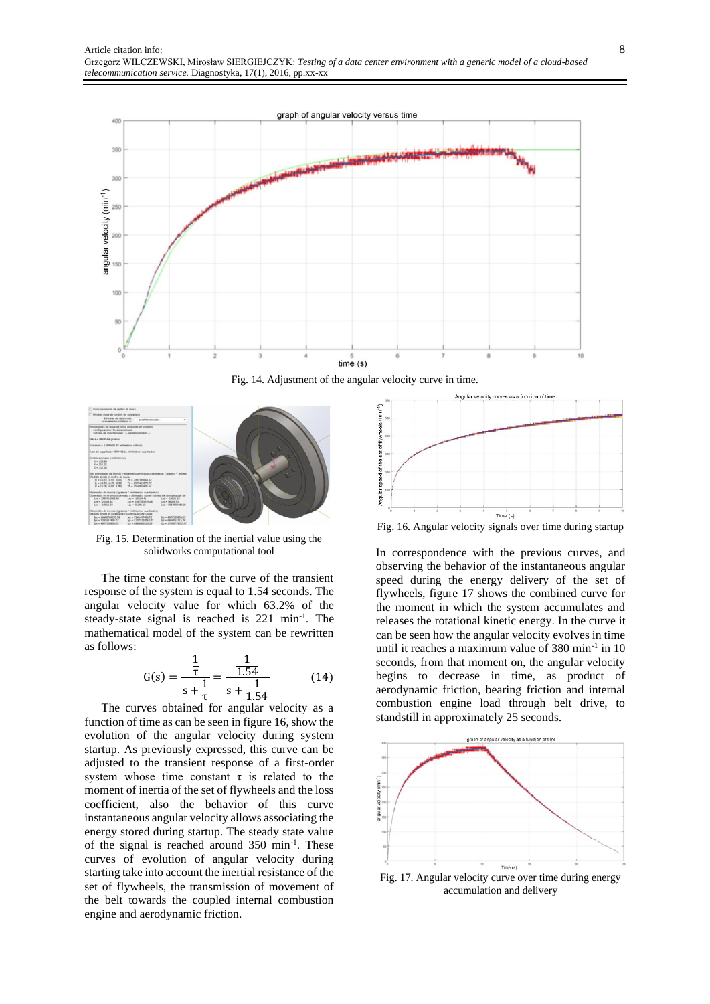

Fig. 14. Adjustment of the angular velocity curve in time.



Fig. 15. Determination of the inertial value using the solidworks computational tool

The time constant for the curve of the transient response of the system is equal to 1.54 seconds. The angular velocity value for which 63.2% of the steady-state signal is reached is 221 min<sup>-1</sup>. The mathematical model of the system can be rewritten as follows:

$$
G(s) = \frac{\frac{1}{\tau}}{s + \frac{1}{\tau}} = \frac{\frac{1}{1.54}}{s + \frac{1}{1.54}} \tag{14}
$$

The curves obtained for angular velocity as a function of time as can be seen in figure 16, show the evolution of the angular velocity during system startup. As previously expressed, this curve can be adjusted to the transient response of a first-order system whose time constant  $\tau$  is related to the moment of inertia of the set of flywheels and the loss coefficient, also the behavior of this curve instantaneous angular velocity allows associating the energy stored during startup. The steady state value of the signal is reached around 350 min-1 . These curves of evolution of angular velocity during starting take into account the inertial resistance of the set of flywheels, the transmission of movement of the belt towards the coupled internal combustion engine and aerodynamic friction.



Fig. 16. Angular velocity signals over time during startup

In correspondence with the previous curves, and observing the behavior of the instantaneous angular speed during the energy delivery of the set of flywheels, figure 17 shows the combined curve for the moment in which the system accumulates and releases the rotational kinetic energy. In the curve it can be seen how the angular velocity evolves in time until it reaches a maximum value of  $380 \text{ min}^{-1}$  in 10 seconds, from that moment on, the angular velocity begins to decrease in time, as product of aerodynamic friction, bearing friction and internal combustion engine load through belt drive, to standstill in approximately 25 seconds.



accumulation and delivery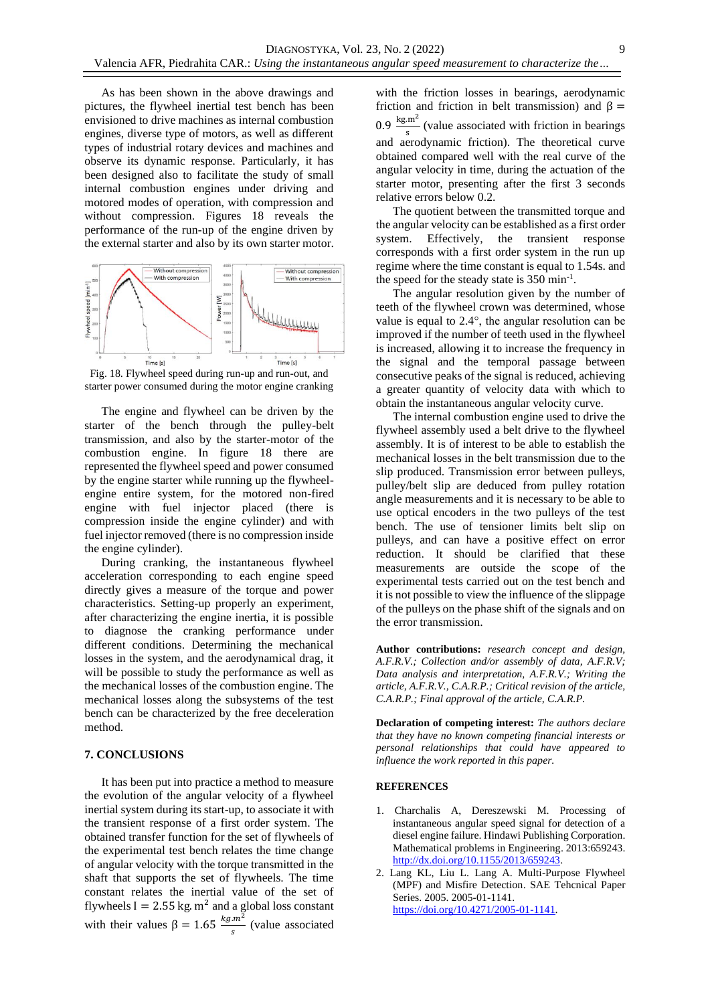As has been shown in the above drawings and pictures, the flywheel inertial test bench has been envisioned to drive machines as internal combustion engines, diverse type of motors, as well as different types of industrial rotary devices and machines and observe its dynamic response. Particularly, it has been designed also to facilitate the study of small internal combustion engines under driving and motored modes of operation, with compression and without compression. Figures 18 reveals the performance of the run-up of the engine driven by the external starter and also by its own starter motor.



Fig. 18. Flywheel speed during run-up and run-out, and starter power consumed during the motor engine cranking

The engine and flywheel can be driven by the starter of the bench through the pulley-belt transmission, and also by the starter-motor of the combustion engine. In figure 18 there are represented the flywheel speed and power consumed by the engine starter while running up the flywheelengine entire system, for the motored non-fired engine with fuel injector placed (there is compression inside the engine cylinder) and with fuel injector removed (there is no compression inside the engine cylinder).

During cranking, the instantaneous flywheel acceleration corresponding to each engine speed directly gives a measure of the torque and power characteristics. Setting-up properly an experiment, after characterizing the engine inertia, it is possible to diagnose the cranking performance under different conditions. Determining the mechanical losses in the system, and the aerodynamical drag, it will be possible to study the performance as well as the mechanical losses of the combustion engine. The mechanical losses along the subsystems of the test bench can be characterized by the free deceleration method.

## **7. CONCLUSIONS**

It has been put into practice a method to measure the evolution of the angular velocity of a flywheel inertial system during its start-up, to associate it with the transient response of a first order system. The obtained transfer function for the set of flywheels of the experimental test bench relates the time change of angular velocity with the torque transmitted in the shaft that supports the set of flywheels. The time constant relates the inertial value of the set of flywheels  $I = 2.55$  kg.  $m^2$  and a global loss constant with their values  $\beta = 1.65 \frac{kg.m^2}{s}$  (value associated with the friction losses in bearings, aerodynamic friction and friction in belt transmission) and  $β =$  $0.9 \frac{\text{kg.m}^2}{2}$  $\frac{\text{m}}{\text{s}}$  (value associated with friction in bearings and aerodynamic friction). The theoretical curve obtained compared well with the real curve of the angular velocity in time, during the actuation of the starter motor, presenting after the first 3 seconds relative errors below 0.2.

The quotient between the transmitted torque and the angular velocity can be established as a first order system. Effectively, the transient response corresponds with a first order system in the run up regime where the time constant is equal to 1.54s. and the speed for the steady state is 350 min-1 .

The angular resolution given by the number of teeth of the flywheel crown was determined, whose value is equal to 2.4°, the angular resolution can be improved if the number of teeth used in the flywheel is increased, allowing it to increase the frequency in the signal and the temporal passage between consecutive peaks of the signal is reduced, achieving a greater quantity of velocity data with which to obtain the instantaneous angular velocity curve.

The internal combustion engine used to drive the flywheel assembly used a belt drive to the flywheel assembly. It is of interest to be able to establish the mechanical losses in the belt transmission due to the slip produced. Transmission error between pulleys, pulley/belt slip are deduced from pulley rotation angle measurements and it is necessary to be able to use optical encoders in the two pulleys of the test bench. The use of tensioner limits belt slip on pulleys, and can have a positive effect on error reduction. It should be clarified that these measurements are outside the scope of the experimental tests carried out on the test bench and it is not possible to view the influence of the slippage of the pulleys on the phase shift of the signals and on the error transmission.

**Author contributions:** *research concept and design, A.F.R.V.; Collection and/or assembly of data, A.F.R.V; Data analysis and interpretation, A.F.R.V.; Writing the article, A.F.R.V., C.A.R.P.; Critical revision of the article, C.A.R.P.; Final approval of the article, C.A.R.P.*

**Declaration of competing interest:** *The authors declare that they have no known competing financial interests or personal relationships that could have appeared to influence the work reported in this paper.*

#### **REFERENCES**

- 1. Charchalis A, Dereszewski M. Processing of instantaneous angular speed signal for detection of a diesel engine failure. Hindawi Publishing Corporation. Mathematical problems in Engineering. 2013:659243. [http://dx.doi.org/10.1155/2013/659243.](http://dx.doi.org/10.1155/2013/659243)
- 2. Lang KL, Liu L. Lang A. Multi-Purpose Flywheel (MPF) and Misfire Detection. SAE Tehcnical Paper Series. 2005. 2005-01-1141. [https://doi.org/10.4271/2005-01-1141.](https://doi.org/10.4271/2005-01-1141)